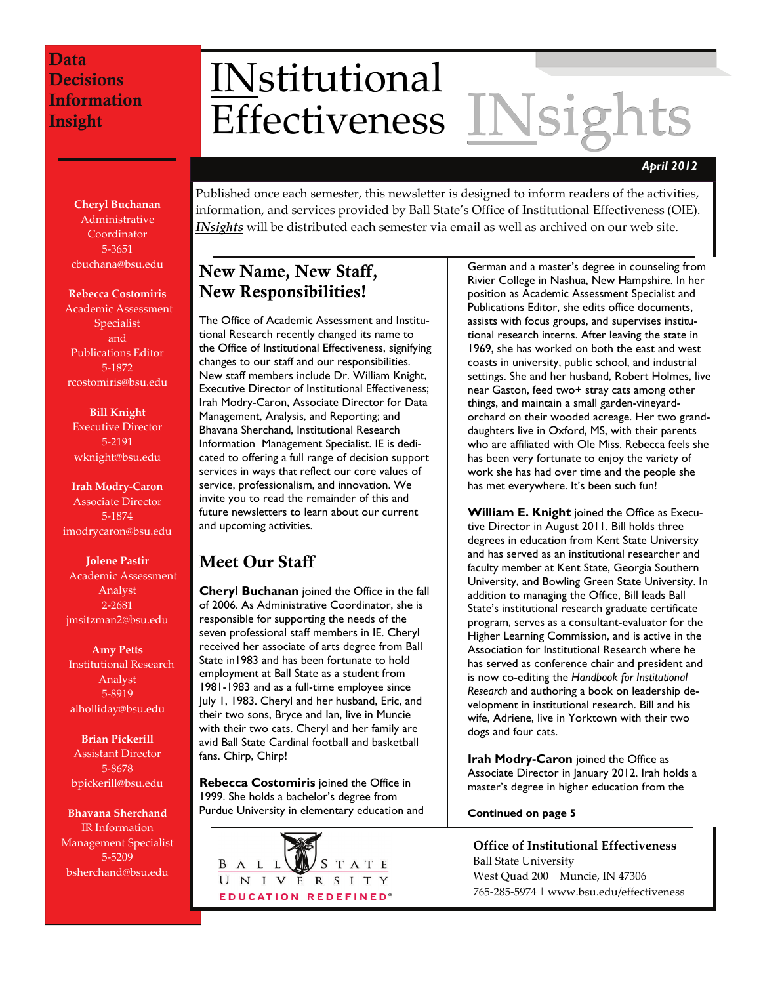# INstitutional<br>Effectiveness INsigh **Effectiveness**

### *April 2012*

Published once each semester, this newsletter is designed to inform readers of the activities, information, and services provided by Ball State's Office of Institutional Effectiveness (OIE). *INsights* will be distributed each semester via email as well as archived on our web site.

# New Name, New Staff, New Responsibilities!

The Office of Academic Assessment and Institutional Research recently changed its name to the Office of Institutional Effectiveness, signifying changes to our staff and our responsibilities. New staff members include Dr. William Knight, Executive Director of Institutional Effectiveness; Irah Modry-Caron, Associate Director for Data Management, Analysis, and Reporting; and Bhavana Sherchand, Institutional Research Information Management Specialist. IE is dedicated to offering a full range of decision support services in ways that reflect our core values of service, professionalism, and innovation. We invite you to read the remainder of this and future newsletters to learn about our current and upcoming activities.

# Meet Our Staff

**Cheryl Buchanan** joined the Office in the fall of 2006. As Administrative Coordinator, she is responsible for supporting the needs of the seven professional staff members in IE. Cheryl received her associate of arts degree from Ball State in1983 and has been fortunate to hold employment at Ball State as a student from 1981-1983 and as a full-time employee since July 1, 1983. Cheryl and her husband, Eric, and their two sons, Bryce and Ian, live in Muncie with their two cats. Cheryl and her family are avid Ball State Cardinal football and basketball fans. Chirp, Chirp!

**Rebecca Costomiris** joined the Office in 1999. She holds a bachelor's degree from Purdue University in elementary education and



German and a master's degree in counseling from Rivier College in Nashua, New Hampshire. In her position as Academic Assessment Specialist and Publications Editor, she edits office documents, assists with focus groups, and supervises institutional research interns. After leaving the state in 1969, she has worked on both the east and west coasts in university, public school, and industrial settings. She and her husband, Robert Holmes, live near Gaston, feed two+ stray cats among other things, and maintain a small garden-vineyardorchard on their wooded acreage. Her two granddaughters live in Oxford, MS, with their parents who are affiliated with Ole Miss. Rebecca feels she has been very fortunate to enjoy the variety of work she has had over time and the people she has met everywhere. It's been such fun!

**William E. Knight** joined the Office as Executive Director in August 2011. Bill holds three degrees in education from Kent State University and has served as an institutional researcher and faculty member at Kent State, Georgia Southern University, and Bowling Green State University. In addition to managing the Office, Bill leads Ball State's institutional research graduate certificate program, serves as a consultant-evaluator for the Higher Learning Commission, and is active in the Association for Institutional Research where he has served as conference chair and president and is now co-editing the *Handbook for Institutional Research* and authoring a book on leadership development in institutional research. Bill and his wife, Adriene, live in Yorktown with their two dogs and four cats.

**Irah Modry-Caron** joined the Office as Associate Director in January 2012. Irah holds a master's degree in higher education from the

#### **Continued on page 5**

**Office of Institutional Effectiveness** Ball State University West Quad 200 Muncie, IN 47306 765‐285‐5974 | www.bsu.edu/effectiveness

**Cheryl Buchanan** Administrative **Coordinator** 5‐3651 cbuchana@bsu.edu

#### **Rebecca Costomiris**

Academic Assessment Specialist and Publications Editor 5‐1872 rcostomiris@bsu.edu

**Bill Knight** Executive Director 5‐2191 wknight@bsu.edu

**Irah Modry‐Caron** Associate Director 5‐1874 imodrycaron@bsu.edu

**Jolene Pastir** Academic Assessment Analyst 2‐2681 jmsitzman2@bsu.edu

**Amy Petts** Institutional Research Analyst 5‐8919 alholliday@bsu.edu

**Brian Pickerill** Assistant Director 5‐8678 bpickerill@bsu.edu

**Bhavana Sherchand** IR Information Management Specialist 5‐5209 bsherchand@bsu.edu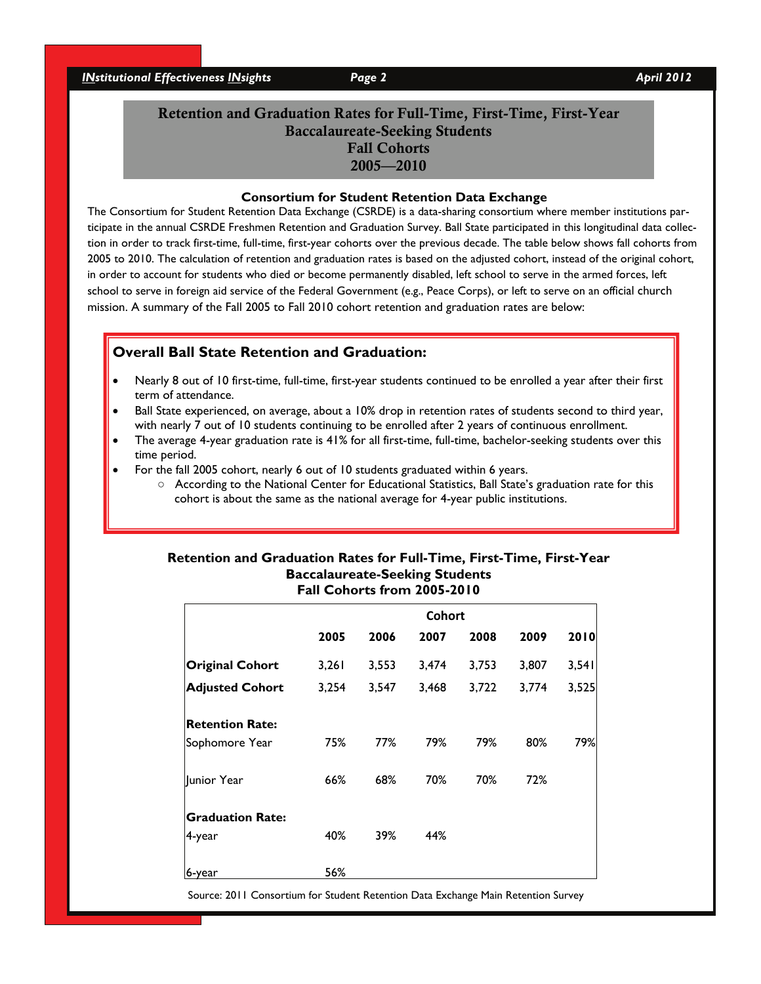*INstitutional Effectiveness INsights* Page 2 April 2012

# Retention and Graduation Rates for Full-Time, First-Time, First-Year Baccalaureate-Seeking Students Fall Cohorts 2005—2010

#### **Consortium for Student Retention Data Exchange**

The Consortium for Student Retention Data Exchange (CSRDE) is a data-sharing consortium where member institutions participate in the annual CSRDE Freshmen Retention and Graduation Survey. Ball State participated in this longitudinal data collection in order to track first-time, full-time, first-year cohorts over the previous decade. The table below shows fall cohorts from 2005 to 2010. The calculation of retention and graduation rates is based on the adjusted cohort, instead of the original cohort, in order to account for students who died or become permanently disabled, left school to serve in the armed forces, left school to serve in foreign aid service of the Federal Government (e.g., Peace Corps), or left to serve on an official church mission. A summary of the Fall 2005 to Fall 2010 cohort retention and graduation rates are below:

### **Overall Ball State Retention and Graduation:**

- Nearly 8 out of 10 first-time, full-time, first-year students continued to be enrolled a year after their first term of attendance.
- Ball State experienced, on average, about a 10% drop in retention rates of students second to third year, with nearly 7 out of 10 students continuing to be enrolled after 2 years of continuous enrollment.
- The average 4-year graduation rate is 41% for all first-time, full-time, bachelor-seeking students over this time period.
- For the fall 2005 cohort, nearly 6 out of 10 students graduated within 6 years.
	- According to the National Center for Educational Statistics, Ball State's graduation rate for this cohort is about the same as the national average for 4-year public institutions.

#### **Retention and Graduation Rates for Full-Time, First-Time, First-Year Baccalaureate-Seeking Students Fall Cohorts from 2005-2010**

|                         | <b>Cohort</b> |       |       |       |       |       |  |
|-------------------------|---------------|-------|-------|-------|-------|-------|--|
|                         | 2005          | 2006  | 2007  | 2008  | 2009  | 2010  |  |
| <b>Original Cohort</b>  | 3,261         | 3,553 | 3,474 | 3,753 | 3,807 | 3,541 |  |
| <b>Adjusted Cohort</b>  | 3,254         | 3,547 | 3,468 | 3,722 | 3,774 | 3,525 |  |
| <b>Retention Rate:</b>  |               |       |       |       |       |       |  |
| Sophomore Year          | 75%           | 77%   | 79%   | 79%   | 80%   | 79%   |  |
| Junior Year             | 66%           | 68%   | 70%   | 70%   | 72%   |       |  |
| <b>Graduation Rate:</b> |               |       |       |       |       |       |  |
| 4-year                  | 40%           | 39%   | 44%   |       |       |       |  |
| 6-year                  | 56%           |       |       |       |       |       |  |

Source: 2011 Consortium for Student Retention Data Exchange Main Retention Survey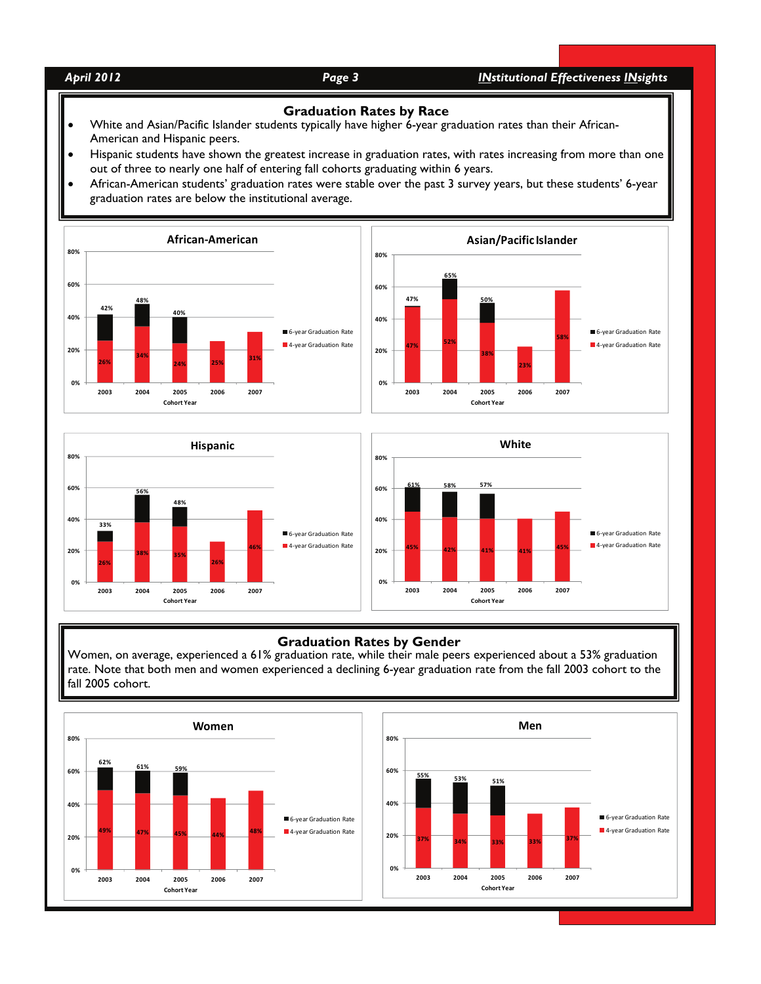*April 2012 Page 3 INstitutional Effectiveness INsights* 

#### **Graduation Rates by Race**

- White and Asian/Pacific Islander students typically have higher 6-year graduation rates than their African-American and Hispanic peers.
- Hispanic students have shown the greatest increase in graduation rates, with rates increasing from more than one out of three to nearly one half of entering fall cohorts graduating within 6 years.
- African-American students' graduation rates were stable over the past 3 survey years, but these students' 6-year graduation rates are below the institutional average.







#### **Graduation Rates by Gender**

Women, on average, experienced a 61% graduation rate, while their male peers experienced about a 53% graduation rate. Note that both men and women experienced a declining 6-year graduation rate from the fall 2003 cohort to the fall 2005 cohort.

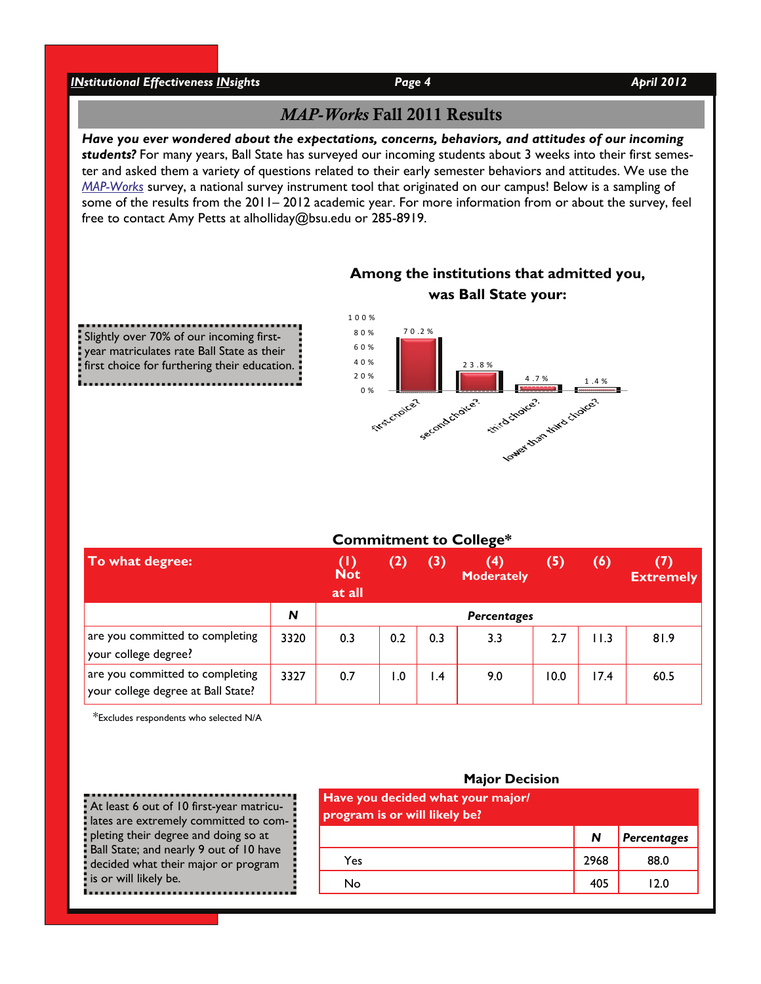# *INstitutional Effectiveness INsights Page 4 April 2012 April 2012*

Slightly over 70% of our incoming firstyear matriculates rate Ball State as their first choice for furthering their education.

# *MAP-Works* Fall 2011 Results

*Have you ever wondered about the expectations, concerns, behaviors, and attitudes of our incoming students?* For many years, Ball State has surveyed our incoming students about 3 weeks into their first semester and asked them a variety of questions related to their early semester behaviors and attitudes. We use the *[MAP-Works](http://cms.bsu.edu/About/AdministrativeOffices/Effectiveness/Surveys/FirstYearStudents.aspx)* survey, a national survey instrument tool that originated on our campus! Below is a sampling of some of the results from the 2011– 2012 academic year. For more information from or about the survey, feel free to contact Amy Petts at alholliday@bsu.edu or 285-8919.



# **Among the institutions that admitted you, was Ball State your:**

| To what degree:                                                       |      | $\mathbf ( \mathbf{I} )$<br><b>Not</b><br>at all | (2)  | (3) | (4)<br>Moderately | (5)  | (6)  | (7)<br><b>Extremely</b> |
|-----------------------------------------------------------------------|------|--------------------------------------------------|------|-----|-------------------|------|------|-------------------------|
|                                                                       | N    | Percentages                                      |      |     |                   |      |      |                         |
| are you committed to completing<br>your college degree?               | 3320 | 0.3                                              | 0.2  | 0.3 | 3.3               | 2.7  | 11.3 | 81.9                    |
| are you committed to completing<br>your college degree at Ball State? | 3327 | 0.7                                              | 0. ا | 1.4 | 9.0               | 10.0 | 17.4 | 60.5                    |

\*Excludes respondents who selected N/A

At least 6 out of 10 first-year matriculates are extremely committed to completing their degree and doing so at Ball State; and nearly 9 out of 10 have decided what their major or program is or will likely be.

| Have you decided what your major/<br>program is or will likely be? |      |             |  |  |  |  |  |
|--------------------------------------------------------------------|------|-------------|--|--|--|--|--|
|                                                                    | N    | Percentages |  |  |  |  |  |
| Yes                                                                | 2968 | 88.0        |  |  |  |  |  |
| No                                                                 | 405  | 12.0        |  |  |  |  |  |
|                                                                    |      |             |  |  |  |  |  |

### **Major Decision**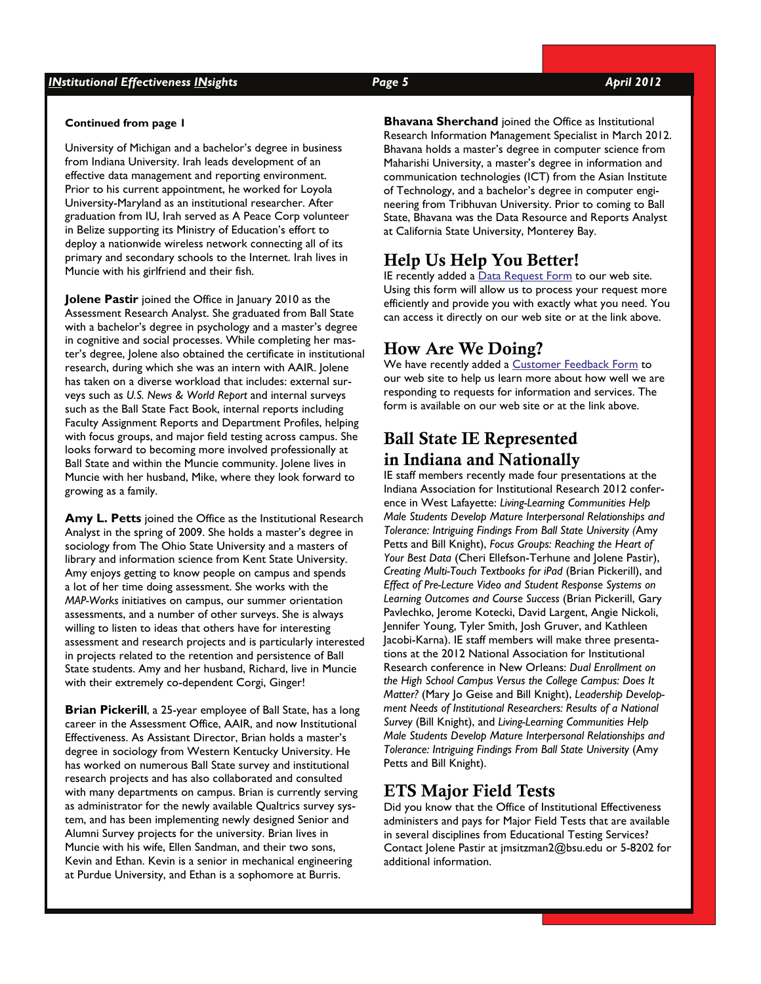## *INstitutional Effectiveness INsights Page 5 April 2012*

#### **Continued from page 1**

University of Michigan and a bachelor's degree in business from Indiana University. Irah leads development of an effective data management and reporting environment. Prior to his current appointment, he worked for Loyola University-Maryland as an institutional researcher. After graduation from IU, Irah served as A Peace Corp volunteer in Belize supporting its Ministry of Education's effort to deploy a nationwide wireless network connecting all of its primary and secondary schools to the Internet. Irah lives in Muncie with his girlfriend and their fish.

**Jolene Pastir** joined the Office in January 2010 as the Assessment Research Analyst. She graduated from Ball State with a bachelor's degree in psychology and a master's degree in cognitive and social processes. While completing her master's degree, Jolene also obtained the certificate in institutional research, during which she was an intern with AAIR. Jolene has taken on a diverse workload that includes: external surveys such as *U.S. News & World Report* and internal surveys such as the Ball State Fact Book, internal reports including Faculty Assignment Reports and Department Profiles, helping with focus groups, and major field testing across campus. She looks forward to becoming more involved professionally at Ball State and within the Muncie community. Jolene lives in Muncie with her husband, Mike, where they look forward to growing as a family.

**Amy L. Petts** joined the Office as the Institutional Research Analyst in the spring of 2009. She holds a master's degree in sociology from The Ohio State University and a masters of library and information science from Kent State University. Amy enjoys getting to know people on campus and spends a lot of her time doing assessment. She works with the *MAP-Works* initiatives on campus, our summer orientation assessments, and a number of other surveys. She is always willing to listen to ideas that others have for interesting assessment and research projects and is particularly interested in projects related to the retention and persistence of Ball State students. Amy and her husband, Richard, live in Muncie with their extremely co-dependent Corgi, Ginger!

**Brian Pickerill**, a 25-year employee of Ball State, has a long career in the Assessment Office, AAIR, and now Institutional Effectiveness. As Assistant Director, Brian holds a master's degree in sociology from Western Kentucky University. He has worked on numerous Ball State survey and institutional research projects and has also collaborated and consulted with many departments on campus. Brian is currently serving as administrator for the newly available Qualtrics survey system, and has been implementing newly designed Senior and Alumni Survey projects for the university. Brian lives in Muncie with his wife, Ellen Sandman, and their two sons, Kevin and Ethan. Kevin is a senior in mechanical engineering at Purdue University, and Ethan is a sophomore at Burris.

**Bhavana Sherchand** joined the Office as Institutional Research Information Management Specialist in March 2012. Bhavana holds a master's degree in computer science from Maharishi University, a master's degree in information and communication technologies (ICT) from the Asian Institute of Technology, and a bachelor's degree in computer engineering from Tribhuvan University. Prior to coming to Ball State, Bhavana was the Data Resource and Reports Analyst at California State University, Monterey Bay.

# Help Us Help You Better!

IE recently added a [Data Request Form](http://bsuoir.us2.qualtrics.com/SE/?SID=SV_0ceSXyofTfTLbCI) to our web site. Using this form will allow us to process your request more efficiently and provide you with exactly what you need. You can access it directly on our web site or at the link above.

# How Are We Doing?

We have recently added a [Customer Feedback Form](http://bsuoir.us2.qualtrics.com/SE/?SID=SV_e9Bk17XXIth8iwI) to our web site to help us learn more about how well we are responding to requests for information and services. The form is available on our web site or at the link above.

# Ball State IE Represented in Indiana and Nationally

IE staff members recently made four presentations at the Indiana Association for Institutional Research 2012 conference in West Lafayette: *Living-Learning Communities Help Male Students Develop Mature Interpersonal Relationships and Tolerance: Intriguing Findings From Ball State University (*Amy Petts and Bill Knight), *Focus Groups: Reaching the Heart of Your Best Data* (Cheri Ellefson-Terhune and Jolene Pastir), *Creating Multi-Touch Textbooks for iPad* (Brian Pickerill), and *Effect of Pre-Lecture Video and Student Response Systems on Learning Outcomes and Course Success* (Brian Pickerill, Gary Pavlechko, Jerome Kotecki, David Largent, Angie Nickoli, Jennifer Young, Tyler Smith, Josh Gruver, and Kathleen Jacobi-Karna). IE staff members will make three presentations at the 2012 National Association for Institutional Research conference in New Orleans: *Dual Enrollment on the High School Campus Versus the College Campus: Does It Matter?* (Mary Jo Geise and Bill Knight), *Leadership Development Needs of Institutional Researchers: Results of a National Survey* (Bill Knight), and *Living-Learning Communities Help Male Students Develop Mature Interpersonal Relationships and Tolerance: Intriguing Findings From Ball State University* (Amy Petts and Bill Knight).

# ETS Major Field Tests

Did you know that the Office of Institutional Effectiveness administers and pays for Major Field Tests that are available in several disciplines from Educational Testing Services? Contact Jolene Pastir at jmsitzman2@bsu.edu or 5-8202 for additional information.